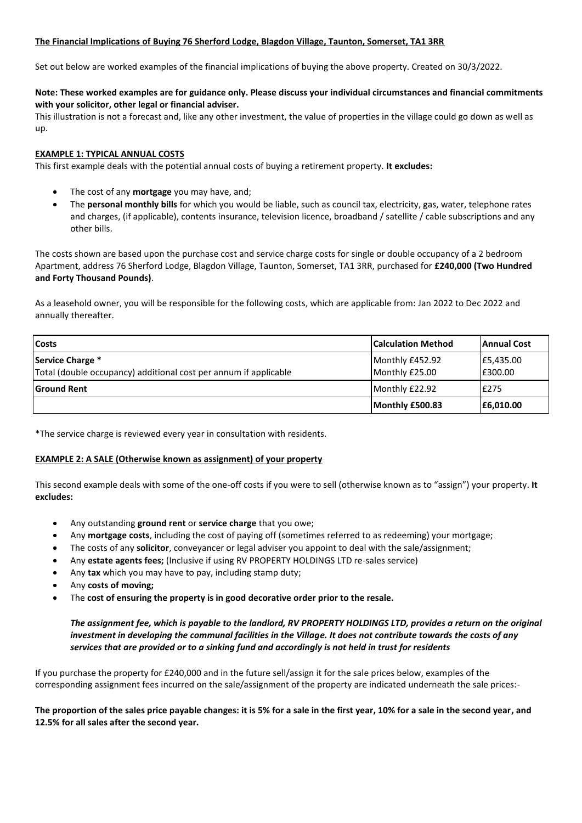## **The Financial Implications of Buying 76 Sherford Lodge, Blagdon Village, Taunton, Somerset, TA1 3RR**

Set out below are worked examples of the financial implications of buying the above property. Created on 30/3/2022.

## **Note: These worked examples are for guidance only. Please discuss your individual circumstances and financial commitments with your solicitor, other legal or financial adviser.**

This illustration is not a forecast and, like any other investment, the value of properties in the village could go down as well as up.

## **EXAMPLE 1: TYPICAL ANNUAL COSTS**

This first example deals with the potential annual costs of buying a retirement property. **It excludes:**

- The cost of any **mortgage** you may have, and;
- The **personal monthly bills** for which you would be liable, such as council tax, electricity, gas, water, telephone rates and charges, (if applicable), contents insurance, television licence, broadband / satellite / cable subscriptions and any other bills.

The costs shown are based upon the purchase cost and service charge costs for single or double occupancy of a 2 bedroom Apartment, address 76 Sherford Lodge, Blagdon Village, Taunton, Somerset, TA1 3RR, purchased for **£240,000 (Two Hundred and Forty Thousand Pounds)**.

As a leasehold owner, you will be responsible for the following costs, which are applicable from: Jan 2022 to Dec 2022 and annually thereafter.

| <b>Costs</b>                                                                         | <b>Calculation Method</b>         | <b>Annual Cost</b>   |
|--------------------------------------------------------------------------------------|-----------------------------------|----------------------|
| Service Charge *<br>Total (double occupancy) additional cost per annum if applicable | Monthly £452.92<br>Monthly £25.00 | £5,435.00<br>E300.00 |
| <b>Ground Rent</b>                                                                   | Monthly £22.92                    | E275                 |
|                                                                                      | Monthly £500.83                   | E6,010.00            |

\*The service charge is reviewed every year in consultation with residents.

## **EXAMPLE 2: A SALE (Otherwise known as assignment) of your property**

This second example deals with some of the one-off costs if you were to sell (otherwise known as to "assign") your property. **It excludes:**

- Any outstanding **ground rent** or **service charge** that you owe;
- Any **mortgage costs**, including the cost of paying off (sometimes referred to as redeeming) your mortgage;
- The costs of any **solicitor**, conveyancer or legal adviser you appoint to deal with the sale/assignment;
- Any **estate agents fees;** (Inclusive if using RV PROPERTY HOLDINGS LTD re-sales service)
- Any **tax** which you may have to pay, including stamp duty;
- Any **costs of moving;**
- The **cost of ensuring the property is in good decorative order prior to the resale.**

*The assignment fee, which is payable to the landlord, RV PROPERTY HOLDINGS LTD, provides a return on the original investment in developing the communal facilities in the Village. It does not contribute towards the costs of any services that are provided or to a sinking fund and accordingly is not held in trust for residents*

If you purchase the property for £240,000 and in the future sell/assign it for the sale prices below, examples of the corresponding assignment fees incurred on the sale/assignment of the property are indicated underneath the sale prices:-

**The proportion of the sales price payable changes: it is 5% for a sale in the first year, 10% for a sale in the second year, and 12.5% for all sales after the second year.**